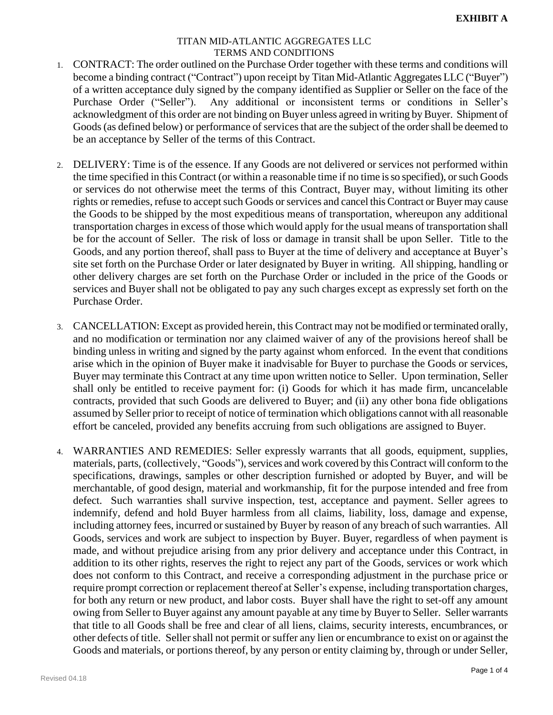- 1. CONTRACT: The order outlined on the Purchase Order together with these terms and conditions will become a binding contract ("Contract") upon receipt by Titan Mid-Atlantic Aggregates LLC ("Buyer") of a written acceptance duly signed by the company identified as Supplier or Seller on the face of the Purchase Order ("Seller"). Any additional or inconsistent terms or conditions in Seller's acknowledgment of this order are not binding on Buyer unless agreed in writing by Buyer. Shipment of Goods(as defined below) or performance of services that are the subject of the order shall be deemed to be an acceptance by Seller of the terms of this Contract.
- 2. DELIVERY: Time is of the essence. If any Goods are not delivered or services not performed within the time specified in this Contract (or within a reasonable time if no time is so specified), or such Goods or services do not otherwise meet the terms of this Contract, Buyer may, without limiting its other rights or remedies, refuse to accept such Goods or services and cancel this Contract or Buyer may cause the Goods to be shipped by the most expeditious means of transportation, whereupon any additional transportation charges in excess of those which would apply for the usual means of transportation shall be for the account of Seller. The risk of loss or damage in transit shall be upon Seller. Title to the Goods, and any portion thereof, shall pass to Buyer at the time of delivery and acceptance at Buyer's site set forth on the Purchase Order or later designated by Buyer in writing. All shipping, handling or other delivery charges are set forth on the Purchase Order or included in the price of the Goods or services and Buyer shall not be obligated to pay any such charges except as expressly set forth on the Purchase Order.
- 3. CANCELLATION: Except as provided herein, this Contract may not be modified or terminated orally, and no modification or termination nor any claimed waiver of any of the provisions hereof shall be binding unless in writing and signed by the party against whom enforced. In the event that conditions arise which in the opinion of Buyer make it inadvisable for Buyer to purchase the Goods or services, Buyer may terminate this Contract at any time upon written notice to Seller. Upon termination, Seller shall only be entitled to receive payment for: (i) Goods for which it has made firm, uncancelable contracts, provided that such Goods are delivered to Buyer; and (ii) any other bona fide obligations assumed by Seller prior to receipt of notice of termination which obligations cannot with all reasonable effort be canceled, provided any benefits accruing from such obligations are assigned to Buyer.
- 4. WARRANTIES AND REMEDIES: Seller expressly warrants that all goods, equipment, supplies, materials, parts, (collectively, "Goods"), services and work covered by this Contract will conform to the specifications, drawings, samples or other description furnished or adopted by Buyer, and will be merchantable, of good design, material and workmanship, fit for the purpose intended and free from defect. Such warranties shall survive inspection, test, acceptance and payment. Seller agrees to indemnify, defend and hold Buyer harmless from all claims, liability, loss, damage and expense, including attorney fees, incurred or sustained by Buyer by reason of any breach of such warranties. All Goods, services and work are subject to inspection by Buyer. Buyer, regardless of when payment is made, and without prejudice arising from any prior delivery and acceptance under this Contract, in addition to its other rights, reserves the right to reject any part of the Goods, services or work which does not conform to this Contract, and receive a corresponding adjustment in the purchase price or require prompt correction or replacement thereof at Seller's expense, including transportation charges, for both any return or new product, and labor costs. Buyer shall have the right to set-off any amount owing from Seller to Buyer against any amount payable at any time by Buyer to Seller. Seller warrants that title to all Goods shall be free and clear of all liens, claims, security interests, encumbrances, or other defects of title. Seller shall not permit or suffer any lien or encumbrance to exist on or against the Goods and materials, or portions thereof, by any person or entity claiming by, through or under Seller,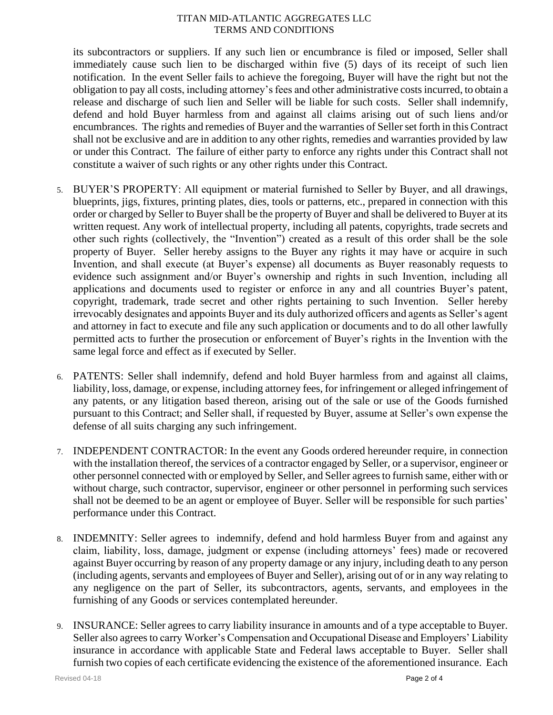its subcontractors or suppliers. If any such lien or encumbrance is filed or imposed, Seller shall immediately cause such lien to be discharged within five (5) days of its receipt of such lien notification. In the event Seller fails to achieve the foregoing, Buyer will have the right but not the obligation to pay all costs, including attorney's fees and other administrative costs incurred, to obtain a release and discharge of such lien and Seller will be liable for such costs. Seller shall indemnify, defend and hold Buyer harmless from and against all claims arising out of such liens and/or encumbrances. The rights and remedies of Buyer and the warranties of Seller set forth in this Contract shall not be exclusive and are in addition to any other rights, remedies and warranties provided by law or under this Contract. The failure of either party to enforce any rights under this Contract shall not constitute a waiver of such rights or any other rights under this Contract.

- 5. BUYER'S PROPERTY: All equipment or material furnished to Seller by Buyer, and all drawings, blueprints, jigs, fixtures, printing plates, dies, tools or patterns, etc., prepared in connection with this order or charged by Seller to Buyer shall be the property of Buyer and shall be delivered to Buyer at its written request. Any work of intellectual property, including all patents, copyrights, trade secrets and other such rights (collectively, the "Invention") created as a result of this order shall be the sole property of Buyer. Seller hereby assigns to the Buyer any rights it may have or acquire in such Invention, and shall execute (at Buyer's expense) all documents as Buyer reasonably requests to evidence such assignment and/or Buyer's ownership and rights in such Invention, including all applications and documents used to register or enforce in any and all countries Buyer's patent, copyright, trademark, trade secret and other rights pertaining to such Invention. Seller hereby irrevocably designates and appoints Buyer and its duly authorized officers and agents as Seller's agent and attorney in fact to execute and file any such application or documents and to do all other lawfully permitted acts to further the prosecution or enforcement of Buyer's rights in the Invention with the same legal force and effect as if executed by Seller.
- 6. PATENTS: Seller shall indemnify, defend and hold Buyer harmless from and against all claims, liability, loss, damage, or expense, including attorney fees, for infringement or alleged infringement of any patents, or any litigation based thereon, arising out of the sale or use of the Goods furnished pursuant to this Contract; and Seller shall, if requested by Buyer, assume at Seller's own expense the defense of all suits charging any such infringement.
- 7. INDEPENDENT CONTRACTOR: In the event any Goods ordered hereunder require, in connection with the installation thereof, the services of a contractor engaged by Seller, or a supervisor, engineer or other personnel connected with or employed by Seller, and Seller agrees to furnish same, either with or without charge, such contractor, supervisor, engineer or other personnel in performing such services shall not be deemed to be an agent or employee of Buyer. Seller will be responsible for such parties' performance under this Contract.
- 8. INDEMNITY: Seller agrees to indemnify, defend and hold harmless Buyer from and against any claim, liability, loss, damage, judgment or expense (including attorneys' fees) made or recovered against Buyer occurring by reason of any property damage or any injury, including death to any person (including agents, servants and employees of Buyer and Seller), arising out of or in any way relating to any negligence on the part of Seller, its subcontractors, agents, servants, and employees in the furnishing of any Goods or services contemplated hereunder.
- 9. INSURANCE: Seller agrees to carry liability insurance in amounts and of a type acceptable to Buyer. Seller also agrees to carry Worker's Compensation and Occupational Disease and Employers' Liability insurance in accordance with applicable State and Federal laws acceptable to Buyer. Seller shall furnish two copies of each certificate evidencing the existence of the aforementioned insurance. Each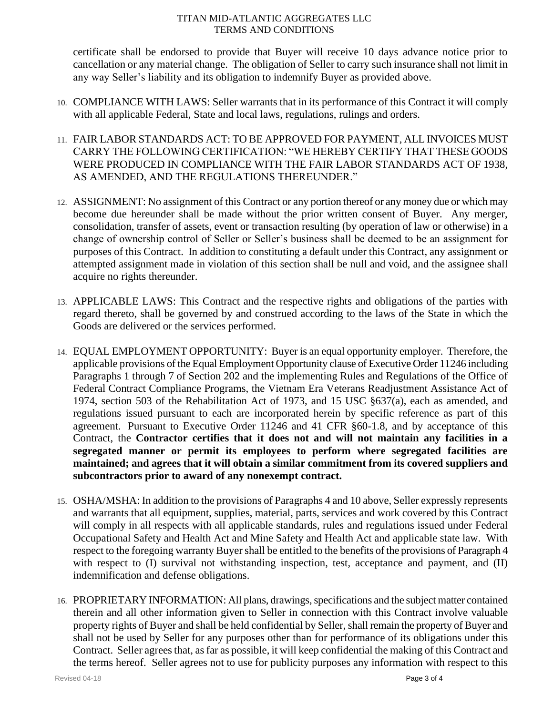certificate shall be endorsed to provide that Buyer will receive 10 days advance notice prior to cancellation or any material change. The obligation of Seller to carry such insurance shall not limit in any way Seller's liability and its obligation to indemnify Buyer as provided above.

- 10. COMPLIANCE WITH LAWS: Seller warrants that in its performance of this Contract it will comply with all applicable Federal, State and local laws, regulations, rulings and orders.
- 11. FAIR LABOR STANDARDS ACT: TO BE APPROVED FOR PAYMENT, ALL INVOICES MUST CARRY THE FOLLOWING CERTIFICATION: "WE HEREBY CERTIFY THAT THESE GOODS WERE PRODUCED IN COMPLIANCE WITH THE FAIR LABOR STANDARDS ACT OF 1938, AS AMENDED, AND THE REGULATIONS THEREUNDER."
- 12. ASSIGNMENT: No assignment of this Contract or any portion thereof or any money due or which may become due hereunder shall be made without the prior written consent of Buyer. Any merger, consolidation, transfer of assets, event or transaction resulting (by operation of law or otherwise) in a change of ownership control of Seller or Seller's business shall be deemed to be an assignment for purposes of this Contract. In addition to constituting a default under this Contract, any assignment or attempted assignment made in violation of this section shall be null and void, and the assignee shall acquire no rights thereunder.
- 13. APPLICABLE LAWS: This Contract and the respective rights and obligations of the parties with regard thereto, shall be governed by and construed according to the laws of the State in which the Goods are delivered or the services performed.
- 14. EQUAL EMPLOYMENT OPPORTUNITY: Buyer is an equal opportunity employer. Therefore, the applicable provisions of the Equal Employment Opportunity clause of Executive Order 11246 including Paragraphs 1 through 7 of Section 202 and the implementing Rules and Regulations of the Office of Federal Contract Compliance Programs, the Vietnam Era Veterans Readjustment Assistance Act of 1974, section 503 of the Rehabilitation Act of 1973, and 15 USC §637(a), each as amended, and regulations issued pursuant to each are incorporated herein by specific reference as part of this agreement. Pursuant to Executive Order 11246 and 41 CFR §60-1.8, and by acceptance of this Contract, the **Contractor certifies that it does not and will not maintain any facilities in a segregated manner or permit its employees to perform where segregated facilities are maintained; and agrees that it will obtain a similar commitment from its covered suppliers and subcontractors prior to award of any nonexempt contract.**
- 15. OSHA/MSHA: In addition to the provisions of Paragraphs 4 and 10 above, Seller expressly represents and warrants that all equipment, supplies, material, parts, services and work covered by this Contract will comply in all respects with all applicable standards, rules and regulations issued under Federal Occupational Safety and Health Act and Mine Safety and Health Act and applicable state law. With respect to the foregoing warranty Buyer shall be entitled to the benefits of the provisions of Paragraph 4 with respect to (I) survival not withstanding inspection, test, acceptance and payment, and (II) indemnification and defense obligations.
- 16. PROPRIETARY INFORMATION: All plans, drawings, specifications and the subject matter contained therein and all other information given to Seller in connection with this Contract involve valuable property rights of Buyer and shall be held confidential by Seller, shall remain the property of Buyer and shall not be used by Seller for any purposes other than for performance of its obligations under this Contract. Seller agrees that, as far as possible, it will keep confidential the making of this Contract and the terms hereof. Seller agrees not to use for publicity purposes any information with respect to this